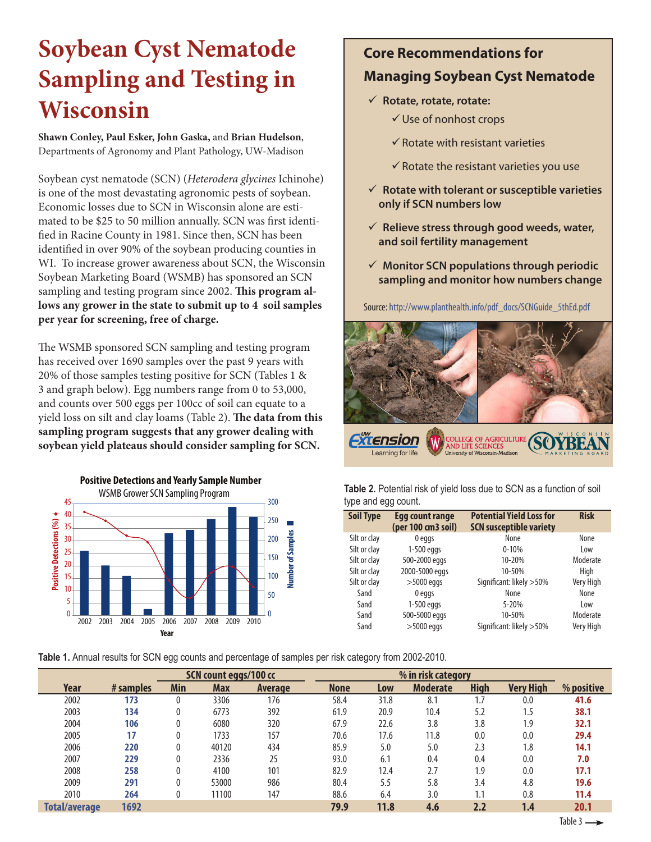## **Soybean Cyst Nematode Sampling and Testing in Wisconsin**

**Shawn Conley, Paul Esker, John Gaska,** and **Brian Hudelson**, Departments of Agronomy and Plant Pathology, UW-Madison

Soybean cyst nematode (SCN) (*Heterodera glycines* Ichinohe) is one of the most devastating agronomic pests of soybean. Economic losses due to SCN in Wisconsin alone are estimated to be \$25 to 50 million annually. SCN was first identified in Racine County in 1981. Since then, SCN has been identified in over 90% of the soybean producing counties in WI. To increase grower awareness about SCN, the Wisconsin Soybean Marketing Board (WSMB) has sponsored an SCN sampling and testing program since 2002. **This program allows any grower in the state to submit up to 4 soil samples per year for screening, free of charge.** 

The WSMB sponsored SCN sampling and testing program has received over 1690 samples over the past 9 years with 20% of those samples testing positive for SCN (Tables 1 & 3 and graph below). Egg numbers range from 0 to 53,000, and counts over 500 eggs per 100cc of soil can equate to a yield loss on silt and clay loams (Table 2). **The data from this sampling program suggests that any grower dealing with soybean yield plateaus should consider sampling for SCN.** 



**Table 1.** Annual results for SCN egg counts and percentage of samples per risk category from 2002-2010.

|                      |           | SCN count eggs/100 cc |       |                |             |      |                 |             |                  |             |
|----------------------|-----------|-----------------------|-------|----------------|-------------|------|-----------------|-------------|------------------|-------------|
| Year                 | # samples | Min                   | Max   | <b>Average</b> | <b>None</b> | Low  | <b>Moderate</b> | <b>High</b> | <b>Very High</b> | % positive  |
| 2002                 | 173       | 0                     | 3306  | 176            | 58.4        | 31.8 | 8.1             | 1.7         | 0.0              | 41.6        |
| 2003                 | 134       | 0                     | 6773  | 392            | 61.9        | 20.9 | 10.4            | 5.2         | 1.5              | 38.1        |
| 2004                 | 106       | 0                     | 6080  | 320            | 67.9        | 22.6 | 3.8             | 3.8         | 1.9              | 32.1        |
| 2005                 | 17        | 0                     | 1733  | 157            | 70.6        | 17.6 | 11.8            | 0.0         | 0.0              | 29.4        |
| 2006                 | 220       | 0                     | 40120 | 434            | 85.9        | 5.0  | 5.0             | 2.3         | 1.8              | 14.1        |
| 2007                 | 229       | 0                     | 2336  | 25             | 93.0        | 6.1  | 0.4             | 0.4         | 0.0              | 7.0         |
| 2008                 | 258       | 0                     | 4100  | 101            | 82.9        | 12.4 | 2.7             | 1.9         | 0.0              | 17.1        |
| 2009                 | 291       | 0                     | 53000 | 986            | 80.4        | 5.5  | 5.8             | 3.4         | 4.8              | 19.6        |
| 2010                 | 264       | 0                     | 11100 | 147            | 88.6        | 6.4  | 3.0             | 1.1         | 0.8              | 11.4        |
| <b>Total/average</b> | 1692      |                       |       |                | 79.9        | 11.8 | 4.6             | 2.2         | 1.4              | 20.1        |
|                      |           |                       |       |                |             |      |                 |             |                  | $T + 1 - 2$ |

## **Core Recommendations for Managing Soybean Cyst Nematode**

- 9 **Rotate, rotate, rotate:**
	- $\checkmark$  Use of nonhost crops
	- $\checkmark$  Rotate with resistant varieties
	- $\checkmark$  Rotate the resistant varieties you use
- 9 **Rotate with tolerant or susceptible varieties only if SCN numbers low**
- 9 **Relieve stress through good weeds, water, and soil fertility management**
- 9 **Monitor SCN populations through periodic sampling and monitor how numbers change**

Source: [http://www.planthealth.info/pdf\\_docs/SCNGuide\\_5thEd.pdf](http://www.planthealth.info/pdf_docs/SCNGuide_5thEd.pdf)



**Table 2.** Potential risk of yield loss due to SCN as a function of soil type and egg count.

| <b>Soil Type</b> | Egg count range<br>(per 100 cm3 soil) | <b>Potential Yield Loss for</b><br><b>SCN susceptible variety</b> | <b>Risk</b> |
|------------------|---------------------------------------|-------------------------------------------------------------------|-------------|
| Silt or clay     | 0 eggs                                | None                                                              | None        |
| Silt or clay     | $1-500$ eggs                          | $0 - 10%$                                                         | Low         |
| Silt or clay     | 500-2000 eggs                         | 10-20%                                                            | Moderate    |
| Silt or clay     | 2000-5000 eggs                        | 10-50%                                                            | High        |
| Silt or clay     | $>5000$ eggs                          | Significant: likely > 50%                                         | Very High   |
| Sand             | 0 eggs                                | None                                                              | None        |
| Sand             | $1-500$ eggs                          | 5-20%                                                             | Low         |
| Sand             | 500-5000 eggs                         | 10-50%                                                            | Moderate    |
| Sand             | $>5000$ eggs                          | Significant: likely > 50%                                         | Very High   |